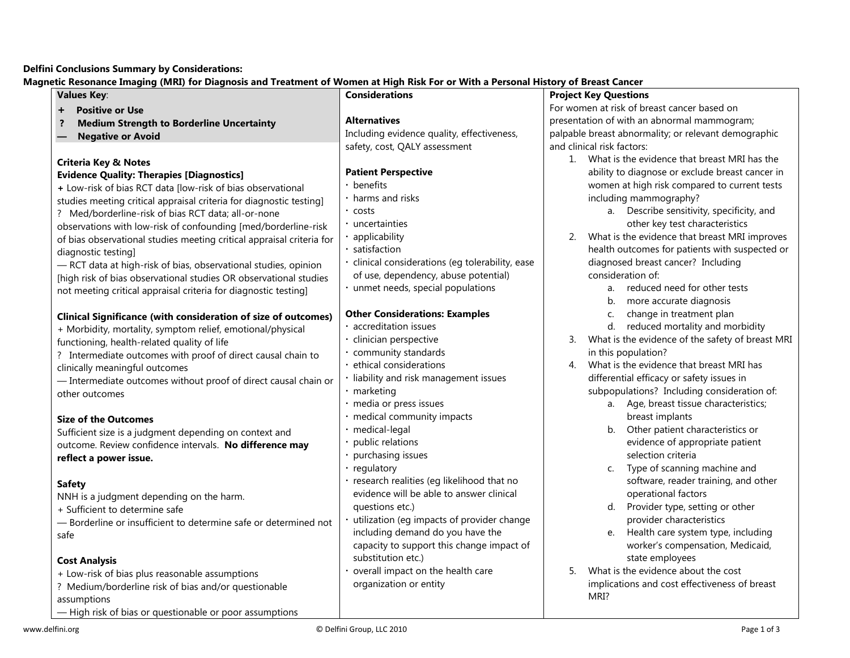## **Delfini Conclusions Summary by Considerations:**

**Magnetic Resonance Imaging (MRI) for Diagnosis and Treatment of Women at High Risk For or With a Personal History of Breast Cancer**

| <b>Values Key:</b>                                                    | <b>Considerations</b>                          | <b>Project Key Questions</b>                           |  |  |
|-----------------------------------------------------------------------|------------------------------------------------|--------------------------------------------------------|--|--|
| <b>Positive or Use</b>                                                |                                                | For women at risk of breast cancer based on            |  |  |
| <b>Medium Strength to Borderline Uncertainty</b>                      | <b>Alternatives</b>                            | presentation of with an abnormal mammogram;            |  |  |
| <b>Negative or Avoid</b>                                              | Including evidence quality, effectiveness,     | palpable breast abnormality; or relevant demographic   |  |  |
|                                                                       | safety, cost, QALY assessment                  | and clinical risk factors:                             |  |  |
| <b>Criteria Key &amp; Notes</b>                                       |                                                | 1. What is the evidence that breast MRI has the        |  |  |
| <b>Evidence Quality: Therapies [Diagnostics]</b>                      | <b>Patient Perspective</b>                     | ability to diagnose or exclude breast cancer in        |  |  |
| + Low-risk of bias RCT data [low-risk of bias observational           | benefits                                       | women at high risk compared to current tests           |  |  |
| studies meeting critical appraisal criteria for diagnostic testing]   | harms and risks                                | including mammography?                                 |  |  |
| ? Med/borderline-risk of bias RCT data; all-or-none                   | costs                                          | a. Describe sensitivity, specificity, and              |  |  |
| observations with low-risk of confounding [med/borderline-risk        | uncertainties                                  | other key test characteristics                         |  |  |
| of bias observational studies meeting critical appraisal criteria for | applicability                                  | What is the evidence that breast MRI improves<br>2.    |  |  |
| diagnostic testing]                                                   | satisfaction                                   | health outcomes for patients with suspected or         |  |  |
| - RCT data at high-risk of bias, observational studies, opinion       | clinical considerations (eg tolerability, ease | diagnosed breast cancer? Including                     |  |  |
| [high risk of bias observational studies OR observational studies     | of use, dependency, abuse potential)           | consideration of:                                      |  |  |
| not meeting critical appraisal criteria for diagnostic testing]       | unmet needs, special populations               | reduced need for other tests<br>a.                     |  |  |
|                                                                       |                                                | b. more accurate diagnosis                             |  |  |
| <b>Clinical Significance (with consideration of size of outcomes)</b> | <b>Other Considerations: Examples</b>          | change in treatment plan<br>C.                         |  |  |
| + Morbidity, mortality, symptom relief, emotional/physical            | accreditation issues                           | d. reduced mortality and morbidity                     |  |  |
| functioning, health-related quality of life                           | clinician perspective                          | What is the evidence of the safety of breast MRI<br>3. |  |  |
| ? Intermediate outcomes with proof of direct causal chain to          | community standards                            | in this population?                                    |  |  |
| clinically meaningful outcomes                                        | ethical considerations                         | What is the evidence that breast MRI has<br>4.         |  |  |
| - Intermediate outcomes without proof of direct causal chain or       | liability and risk management issues           | differential efficacy or safety issues in              |  |  |
| other outcomes                                                        | marketing                                      | subpopulations? Including consideration of:            |  |  |
|                                                                       | media or press issues                          | a. Age, breast tissue characteristics;                 |  |  |
| <b>Size of the Outcomes</b>                                           | medical community impacts                      | breast implants                                        |  |  |
| Sufficient size is a judgment depending on context and                | medical-legal                                  | b. Other patient characteristics or                    |  |  |
| outcome. Review confidence intervals. No difference may               | public relations                               | evidence of appropriate patient                        |  |  |
| reflect a power issue.                                                | purchasing issues                              | selection criteria                                     |  |  |
|                                                                       | regulatory                                     | Type of scanning machine and<br>$C_{\cdot}$            |  |  |
| <b>Safety</b>                                                         | research realities (eg likelihood that no      | software, reader training, and other                   |  |  |
| NNH is a judgment depending on the harm.                              | evidence will be able to answer clinical       | operational factors                                    |  |  |
| + Sufficient to determine safe                                        | questions etc.)                                | d. Provider type, setting or other                     |  |  |
| - Borderline or insufficient to determine safe or determined not      | utilization (eg impacts of provider change     | provider characteristics                               |  |  |
| safe                                                                  | including demand do you have the               | e. Health care system type, including                  |  |  |
|                                                                       | capacity to support this change impact of      | worker's compensation, Medicaid,                       |  |  |
| <b>Cost Analysis</b>                                                  | substitution etc.)                             | state employees                                        |  |  |
| + Low-risk of bias plus reasonable assumptions                        | overall impact on the health care              | What is the evidence about the cost<br>5.              |  |  |
| ? Medium/borderline risk of bias and/or questionable                  | organization or entity                         | implications and cost effectiveness of breast          |  |  |
| assumptions                                                           |                                                | MRI?                                                   |  |  |
| -High risk of bias or questionable or poor assumptions                |                                                |                                                        |  |  |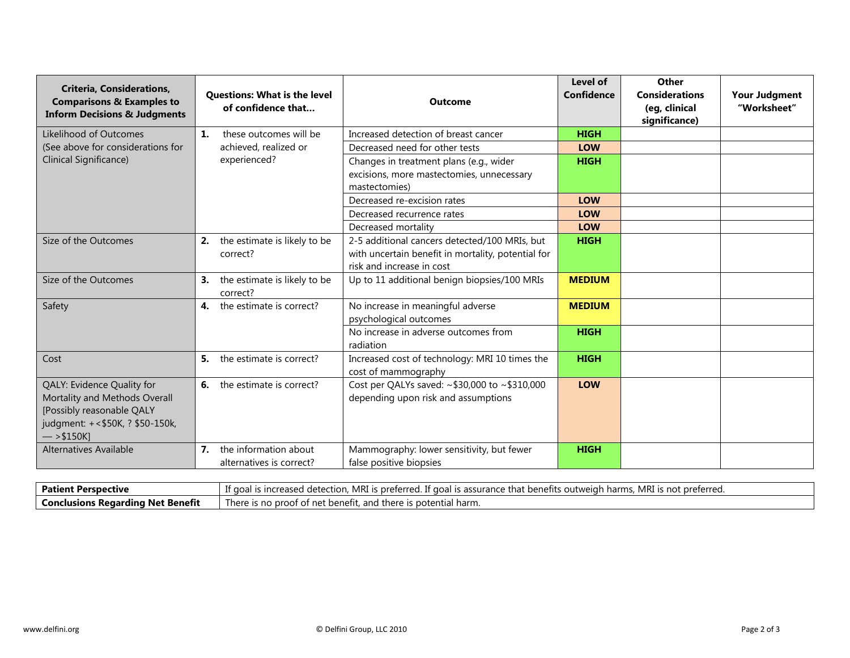| <b>Criteria, Considerations,</b><br><b>Comparisons &amp; Examples to</b><br><b>Inform Decisions &amp; Judgments</b>                          |    | <b>Questions: What is the level</b><br>of confidence that | <b>Outcome</b>                                                                                                                   | Level of<br><b>Confidence</b> | Other<br><b>Considerations</b><br>(eg, clinical<br>significance) | <b>Your Judgment</b><br>"Worksheet" |
|----------------------------------------------------------------------------------------------------------------------------------------------|----|-----------------------------------------------------------|----------------------------------------------------------------------------------------------------------------------------------|-------------------------------|------------------------------------------------------------------|-------------------------------------|
| Likelihood of Outcomes                                                                                                                       | 1. | these outcomes will be                                    | Increased detection of breast cancer                                                                                             | <b>HIGH</b>                   |                                                                  |                                     |
| (See above for considerations for                                                                                                            |    | achieved, realized or                                     | Decreased need for other tests                                                                                                   | <b>LOW</b>                    |                                                                  |                                     |
| Clinical Significance)                                                                                                                       |    | experienced?                                              | Changes in treatment plans (e.g., wider                                                                                          | <b>HIGH</b>                   |                                                                  |                                     |
|                                                                                                                                              |    |                                                           | excisions, more mastectomies, unnecessary<br>mastectomies)                                                                       |                               |                                                                  |                                     |
|                                                                                                                                              |    |                                                           | Decreased re-excision rates                                                                                                      | <b>LOW</b>                    |                                                                  |                                     |
|                                                                                                                                              |    |                                                           | Decreased recurrence rates                                                                                                       | <b>LOW</b>                    |                                                                  |                                     |
|                                                                                                                                              |    |                                                           | Decreased mortality                                                                                                              | <b>LOW</b>                    |                                                                  |                                     |
| Size of the Outcomes                                                                                                                         |    | 2. the estimate is likely to be<br>correct?               | 2-5 additional cancers detected/100 MRIs, but<br>with uncertain benefit in mortality, potential for<br>risk and increase in cost | <b>HIGH</b>                   |                                                                  |                                     |
| Size of the Outcomes                                                                                                                         | 3. | the estimate is likely to be<br>correct?                  | Up to 11 additional benign biopsies/100 MRIs                                                                                     | <b>MEDIUM</b>                 |                                                                  |                                     |
| Safety                                                                                                                                       | 4. | the estimate is correct?                                  | No increase in meaningful adverse<br>psychological outcomes                                                                      | <b>MEDIUM</b>                 |                                                                  |                                     |
|                                                                                                                                              |    |                                                           | No increase in adverse outcomes from<br>radiation                                                                                | <b>HIGH</b>                   |                                                                  |                                     |
| Cost                                                                                                                                         |    | <b>5.</b> the estimate is correct?                        | Increased cost of technology: MRI 10 times the<br>cost of mammography                                                            | <b>HIGH</b>                   |                                                                  |                                     |
| QALY: Evidence Quality for<br>Mortality and Methods Overall<br>[Possibly reasonable QALY<br>judgment: +<\$50K, ? \$50-150k,<br>$-$ > \$150K] | 6. | the estimate is correct?                                  | Cost per QALYs saved: ~\$30,000 to ~\$310,000<br>depending upon risk and assumptions                                             | <b>LOW</b>                    |                                                                  |                                     |
| <b>Alternatives Available</b>                                                                                                                | 7. | the information about<br>alternatives is correct?         | Mammography: lower sensitivity, but fewer<br>false positive biopsies                                                             | <b>HIGH</b>                   |                                                                  |                                     |

| <b>Patient Perspective</b>          | $\sim$ $\sim$<br>MRI<br>. MRI<br>. If goal is assurance that benefits outweigh harms.<br>l is nreterred<br>d detection.<br>'l is not preferred.<br>ncreased - |
|-------------------------------------|---------------------------------------------------------------------------------------------------------------------------------------------------------------|
| l Conclusions Regarding Net Benefit | There is no proof of<br>, and there is potential harm.<br>of net benefit. .                                                                                   |